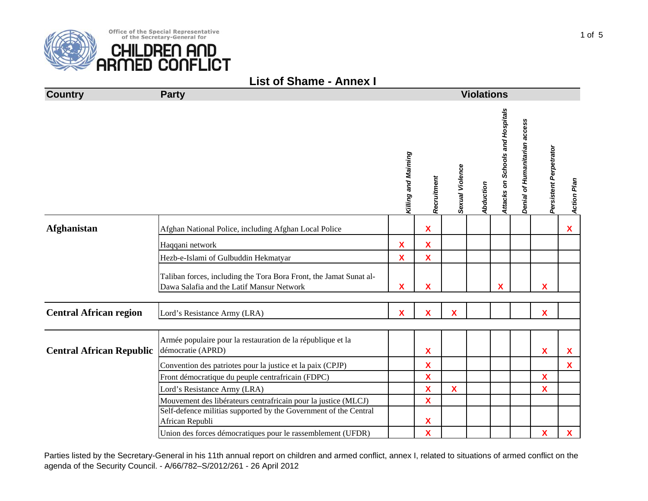

Office of the Special Representative of the Secretary-General for

CHILDREN AND<br>ARMED CONFLICT

| <b>Country</b>                  | <b>Party</b>                                                                                                    |                     | <b>Violations</b> |                           |                  |                                  |                               |                           |                    |  |  |  |
|---------------------------------|-----------------------------------------------------------------------------------------------------------------|---------------------|-------------------|---------------------------|------------------|----------------------------------|-------------------------------|---------------------------|--------------------|--|--|--|
|                                 |                                                                                                                 | Killing and Maiming | Recruitment       | Sexual Violence           | <b>Abduction</b> | Attacks on Schools and Hospitals | Denial of Humanitarian access | Persistent Perpetrator    | <b>Action Plan</b> |  |  |  |
| <b>Afghanistan</b>              | Afghan National Police, including Afghan Local Police                                                           |                     | X                 |                           |                  |                                  |                               |                           | X                  |  |  |  |
|                                 | Haqqani network                                                                                                 | $\pmb{\mathsf{X}}$  | X                 |                           |                  |                                  |                               |                           |                    |  |  |  |
|                                 | Hezb-e-Islami of Gulbuddin Hekmatyar                                                                            | $\mathbf x$         | $\mathbf{x}$      |                           |                  |                                  |                               |                           |                    |  |  |  |
|                                 | Taliban forces, including the Tora Bora Front, the Jamat Sunat al-<br>Dawa Salafia and the Latif Mansur Network | X                   | X                 |                           |                  | X                                |                               | X                         |                    |  |  |  |
| <b>Central African region</b>   | Lord's Resistance Army (LRA)                                                                                    | $\mathbf{x}$        | $\mathbf x$       | $\boldsymbol{\mathsf{x}}$ |                  |                                  |                               | $\mathbf x$               |                    |  |  |  |
| <b>Central African Republic</b> | Armée populaire pour la restauration de la république et la<br>démocratie (APRD)                                |                     | X                 |                           |                  |                                  |                               | $\boldsymbol{\mathsf{x}}$ | X                  |  |  |  |
|                                 | Convention des patriotes pour la justice et la paix (CPJP)                                                      |                     | X                 |                           |                  |                                  |                               |                           | $\mathbf{X}$       |  |  |  |
|                                 | Front démocratique du peuple centrafricain (FDPC)                                                               |                     | $\mathbf x$       |                           |                  |                                  |                               | X                         |                    |  |  |  |
|                                 | Lord's Resistance Army (LRA)                                                                                    |                     | X                 | $\mathbf x$               |                  |                                  |                               | X                         |                    |  |  |  |
|                                 | Mouvement des libérateurs centrafricain pour la justice (MLCJ)                                                  |                     | $\mathbf{x}$      |                           |                  |                                  |                               |                           |                    |  |  |  |
|                                 | Self-defence militias supported by the Government of the Central<br>African Republi                             |                     | Χ                 |                           |                  |                                  |                               |                           |                    |  |  |  |
|                                 | Union des forces démocratiques pour le rassemblement (UFDR)                                                     |                     | X                 |                           |                  |                                  |                               | $\pmb{\mathsf{X}}$        | $\mathbf{X}$       |  |  |  |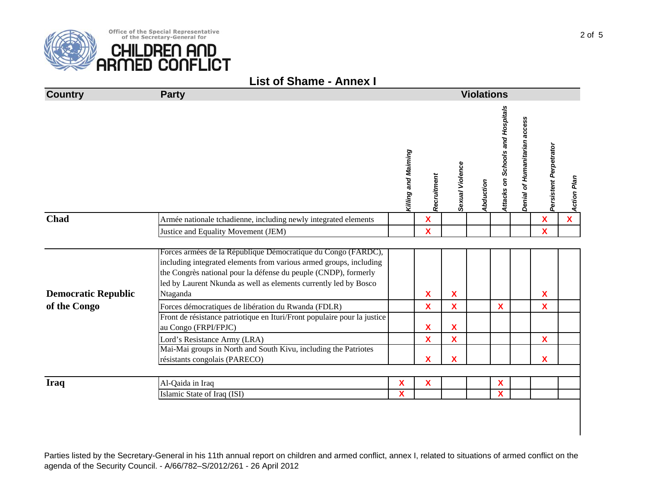|  |  |  |  | <b>List of Shame - Annex I</b> |  |
|--|--|--|--|--------------------------------|--|
|--|--|--|--|--------------------------------|--|

| <b>Country</b>             | <b>Party</b>                                                                                                                                                                                                                                                                           | <b>Violations</b>       |                           |                 |           |                                  |                               |                        |              |  |
|----------------------------|----------------------------------------------------------------------------------------------------------------------------------------------------------------------------------------------------------------------------------------------------------------------------------------|-------------------------|---------------------------|-----------------|-----------|----------------------------------|-------------------------------|------------------------|--------------|--|
|                            |                                                                                                                                                                                                                                                                                        | Killing and Maiming     | Recruitment               | Sexual Violence | Abduction | Attacks on Schools and Hospitals | Denial of Humanitarian access | Persistent Perpetrator | Action Plan  |  |
| <b>Chad</b>                | Armée nationale tchadienne, including newly integrated elements                                                                                                                                                                                                                        |                         | $\mathbf x$               |                 |           |                                  |                               | $\mathbf{x}$           | $\mathbf{X}$ |  |
|                            | Justice and Equality Movement (JEM)                                                                                                                                                                                                                                                    |                         | X                         |                 |           |                                  |                               | $\mathbf x$            |              |  |
|                            |                                                                                                                                                                                                                                                                                        |                         |                           |                 |           |                                  |                               |                        |              |  |
| <b>Democratic Republic</b> | Forces armées de la République Démocratique du Congo (FARDC),<br>including integrated elements from various armed groups, including<br>the Congrès national pour la défense du peuple (CNDP), formerly<br>led by Laurent Nkunda as well as elements currently led by Bosco<br>Ntaganda |                         | $\boldsymbol{\mathsf{X}}$ | X               |           |                                  |                               | <b>X</b>               |              |  |
| of the Congo               | Forces démocratiques de libération du Rwanda (FDLR)                                                                                                                                                                                                                                    |                         | $\mathbf{x}$              | $\mathbf x$     |           | X                                |                               | $\mathbf{X}$           |              |  |
|                            | Front de résistance patriotique en Ituri/Front populaire pour la justice<br>au Congo (FRPI/FPJC)                                                                                                                                                                                       |                         | X                         | X               |           |                                  |                               |                        |              |  |
|                            | Lord's Resistance Army (LRA)                                                                                                                                                                                                                                                           |                         | X                         | $\mathbf x$     |           |                                  |                               | $\mathbf x$            |              |  |
|                            | Mai-Mai groups in North and South Kivu, including the Patriotes<br>résistants congolais (PARECO)                                                                                                                                                                                       |                         | X                         | X               |           |                                  |                               | X                      |              |  |
| <b>Iraq</b>                |                                                                                                                                                                                                                                                                                        | X                       | $\boldsymbol{\mathsf{X}}$ |                 |           | X                                |                               |                        |              |  |
|                            | Al-Qaida in Iraq<br>Islamic State of Iraq (ISI)                                                                                                                                                                                                                                        | $\overline{\mathbf{X}}$ |                           |                 |           | X                                |                               |                        |              |  |
|                            |                                                                                                                                                                                                                                                                                        |                         |                           |                 |           |                                  |                               |                        |              |  |

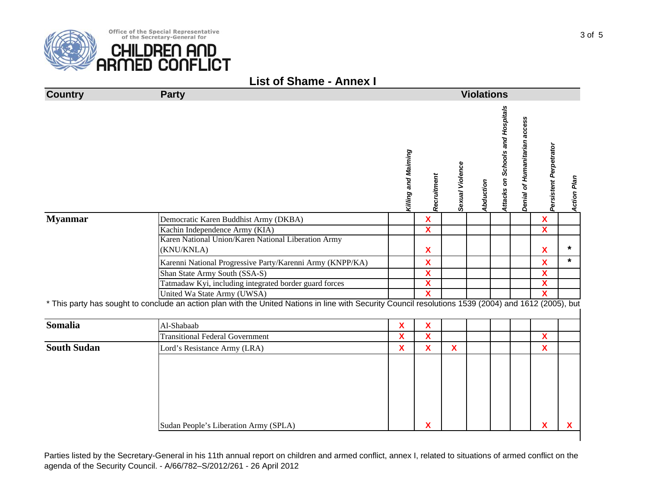|  | <b>List of Shame - Annex I</b> |
|--|--------------------------------|
|  |                                |

| <b>Country</b>     | <b>Party</b>                                                                                                                                          | <b>Violations</b>         |                           |                 |           |                                  |                               |                           |             |  |  |
|--------------------|-------------------------------------------------------------------------------------------------------------------------------------------------------|---------------------------|---------------------------|-----------------|-----------|----------------------------------|-------------------------------|---------------------------|-------------|--|--|
|                    |                                                                                                                                                       | Killing and Maiming       | Recruitment               | Sexual Violence | Abduction | Attacks on Schools and Hospitals | Denial of Humanitarian access | Persistent Perpetrator    | Action Plan |  |  |
| <b>Myanmar</b>     | Democratic Karen Buddhist Army (DKBA)                                                                                                                 |                           | $\mathbf{x}$              |                 |           |                                  |                               | $\mathbf{x}$              |             |  |  |
|                    | Kachin Independence Army (KIA)                                                                                                                        |                           | $\overline{\mathbf{X}}$   |                 |           |                                  |                               | $\overline{\mathbf{X}}$   |             |  |  |
|                    | Karen National Union/Karen National Liberation Army<br>(KNU/KNLA)                                                                                     |                           | $\boldsymbol{\mathsf{X}}$ |                 |           |                                  |                               | $\boldsymbol{\mathsf{X}}$ | $\star$     |  |  |
|                    | Karenni National Progressive Party/Karenni Army (KNPP/KA)                                                                                             |                           | X                         |                 |           |                                  |                               | $\boldsymbol{\mathsf{X}}$ | $\star$     |  |  |
|                    | Shan State Army South (SSA-S)                                                                                                                         |                           | $\boldsymbol{\mathsf{X}}$ |                 |           |                                  |                               | $\boldsymbol{\mathsf{X}}$ |             |  |  |
|                    | Tatmadaw Kyi, including integrated border guard forces                                                                                                |                           | $\overline{\mathbf{X}}$   |                 |           |                                  |                               | $\overline{\mathbf{X}}$   |             |  |  |
|                    | United Wa State Army (UWSA)                                                                                                                           |                           | $\overline{\mathbf{X}}$   |                 |           |                                  |                               | $\overline{\mathbf{X}}$   |             |  |  |
|                    | * This party has sought to conclude an action plan with the United Nations in line with Security Council resolutions 1539 (2004) and 1612 (2005), but |                           |                           |                 |           |                                  |                               |                           |             |  |  |
| <b>Somalia</b>     | Al-Shabaab                                                                                                                                            | X                         | X                         |                 |           |                                  |                               |                           |             |  |  |
|                    | <b>Transitional Federal Government</b>                                                                                                                | $\boldsymbol{\mathsf{X}}$ | $\overline{\mathbf{X}}$   |                 |           |                                  |                               | $\overline{\mathbf{X}}$   |             |  |  |
| <b>South Sudan</b> | Lord's Resistance Army (LRA)                                                                                                                          | X                         | $\boldsymbol{\mathsf{X}}$ | X               |           |                                  |                               | X                         |             |  |  |
|                    | Sudan People's Liberation Army (SPLA)                                                                                                                 |                           | X                         |                 |           |                                  |                               | X                         | x           |  |  |